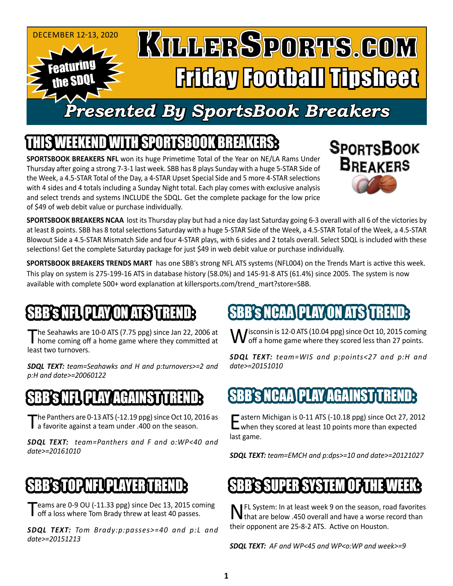

## IEEKEND WITH SPORTSBOOK BREAKER

**SPORTSBOOK BREAKERS NFL** won its huge Primetime Total of the Year on NE/LA Rams Under Thursday after going a strong 7-3-1 last week. SBB has 8 plays Sunday with a huge 5-STAR Side of the Week, a 4.5-STAR Total of the Day, a 4-STAR Upset Special Side and 5 more 4-STAR selections with 4 sides and 4 totals including a Sunday Night total. Each play comes with exclusive analysis and select trends and systems INCLUDE the SDQL. Get the complete package for the low price of \$49 of web debit value or purchase individually.



**SPORTSBOOK BREAKERS NCAA** lost its Thursday play but had a nice day last Saturday going 6-3 overall with all 6 of the victories by at least 8 points. SBB has 8 total selections Saturday with a huge 5-STAR Side of the Week, a 4.5-STAR Total of the Week, a 4.5-STAR Blowout Side a 4.5-STAR Mismatch Side and four 4-STAR plays, with 6 sides and 2 totals overall. Select SDQL is included with these selections! Get the complete Saturday package for just \$49 in web debit value or purchase individually.

**SPORTSBOOK BREAKERS TRENDS MART** has one SBB's strong NFL ATS systems (NFL004) on the Trends Mart is active this week. This play on system is 275-199-16 ATS in database history (58.0%) and 145-91-8 ATS (61.4%) since 2005. The system is now available with complete 500+ word explanation at killersports.com/trend\_mart?store=SBB.

## BB'S NEUPLAY ON ATSYT

The Seahawks are 10-0 ATS (7.75 ppg) since Jan 22, 2006 at home coming off a home game where they committed at least two turnovers.

*SDQL TEXT: team=Seahawks and H and p:turnovers>=2 and p:H and date>=20060122*

#### BED N*A* AGAI

The Panthers are 0-13 ATS (-12.19 ppg) since Oct 10, 2016 as a favorite against a team under .400 on the season.

*SDQL TEXT: team=Panthers and F and o:WP<40 and date>=20161010*

### NP NFL PLA

Teams are 0-9 OU (-11.33 ppg) since Dec 13, 2015 coming off a loss where Tom Brady threw at least 40 passes.

*SDQL TEXT: Tom Brady:p:passes>=40 and p:L and date>=20151213*

## SBB's NCAA PLAY ON ATS TREND:

Misconsin is 12-0 ATS (10.04 ppg) since Oct 10, 2015 coming  $\boldsymbol{V}$  off a home game where they scored less than 27 points.

*SDQL TEXT: team=WIS and p:points<27 and p:H and date>=20151010*

### BB's NCAA PLAY AGAINST

Eastern Michigan is 0-11 ATS (-10.18 ppg) since Oct 27, 2012<br>when they scored at least 10 points more than expected last game.

*SDQL TEXT: team=EMCH and p:dps>=10 and date>=20121027*

### SUPER SYSTEM

**NFL System: In at least week 9 on the season, road favorites**<br>that are below .450 overall and have a worse record than their opponent are 25-8-2 ATS. Active on Houston.

*SDQL TEXT: AF and WP<45 and WP<o:WP and week>=9*